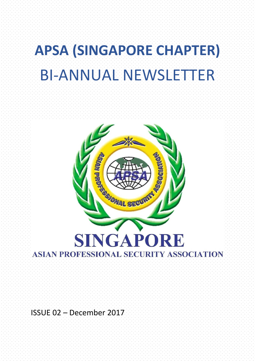# **APSA (SINGAPORE CHAPTER)** BI-ANNUAL NEWSLETTER



ISSUE 02 – December 2017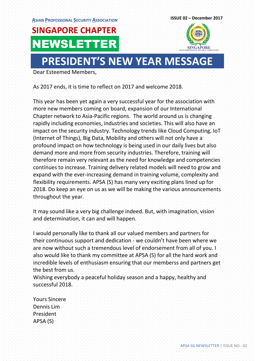

## **PRESIDENT'S NEW YEAR MESSAGE**

Dear Esteemed Members,

As 2017 ends, it is time to reflect on 2017 and welcome 2018.

This year has been yet again a very successful year for the association with more new members coming on board, expansion of our International Chapter network to Asia-Pacific regions. The world around us is changing rapidly including economies, industries and societies. This will also have an impact on the security industry. Technology trends like Cloud Computing, IoT (Internet of Things), Big Data, Mobility and others will not only have a profound impact on how technology is being used in our daily lives but also demand more and more from security industries. Therefore, training will therefore remain very relevant as the need for knowledge and competencies continues to increase. Training delivery related models will need to grow and expand with the ever-increasing demand in training volume, complexity and flexibility requirements. APSA (S) has many very exciting plans lined up for 2018. Do keep an eye on us as we will be making the various announcements throughout the year.

It may sound like a very big challenge indeed. But, with imagination, vision and determination, it can and will happen.

I would personally like to thank all our valued members and partners for their continuous support and dedication - we couldn't have been where we are now without such a tremendous level of endorsement from all of you. I also would like to thank my committee at APSA (S) for all the hard work and incredible levels of enthusiasm ensuring that our memberss and partners get the best from us.

Wishing everybody a peaceful holiday season and a happy, healthy and successful 2018.

Yours Sincere Dennis Lim President APSA (S)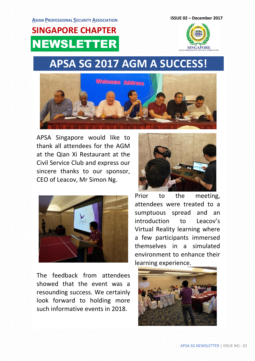

## **APSA SG 2017 AGM A SUCCESS!**



APSA Singapore would like to thank all attendees for the AGM at the Qian Xi Restaurant at the Civil Service Club and express our sincere thanks to our sponsor, CEO of Leacov, Mr Simon Ng.



The feedback from attendees showed that the event was a resounding success. We certainly look forward to holding more such informative events in 2018.



Prior to the meeting, attendees were treated to a sumptuous spread and an introduction to Leacov's Virtual Reality learning where a few participants immersed themselves in a simulated environment to enhance their learning experience.

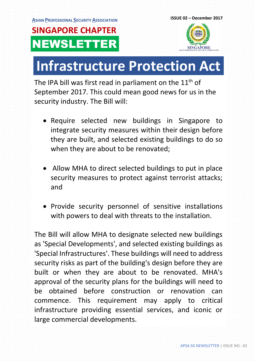

# **Infrastructure Protection Act**

The IPA bill was first read in parliament on the 11<sup>th</sup> of September 2017. This could mean good news for us in the security industry. The Bill will:

- Require selected new buildings in Singapore to integrate security measures within their design before they are built, and selected existing buildings to do so when they are about to be renovated;
- Allow MHA to direct selected buildings to put in place security measures to protect against terrorist attacks; and
- Provide security personnel of sensitive installations with powers to deal with threats to the installation.

The Bill will allow MHA to designate selected new buildings as 'Special Developments', and selected existing buildings as 'Special Infrastructures'. These buildings will need to address security risks as part of the building's design before they are built or when they are about to be renovated. MHA's approval of the security plans for the buildings will need to be obtained before construction or renovation can commence. This requirement may apply to critical infrastructure providing essential services, and iconic or large commercial developments.